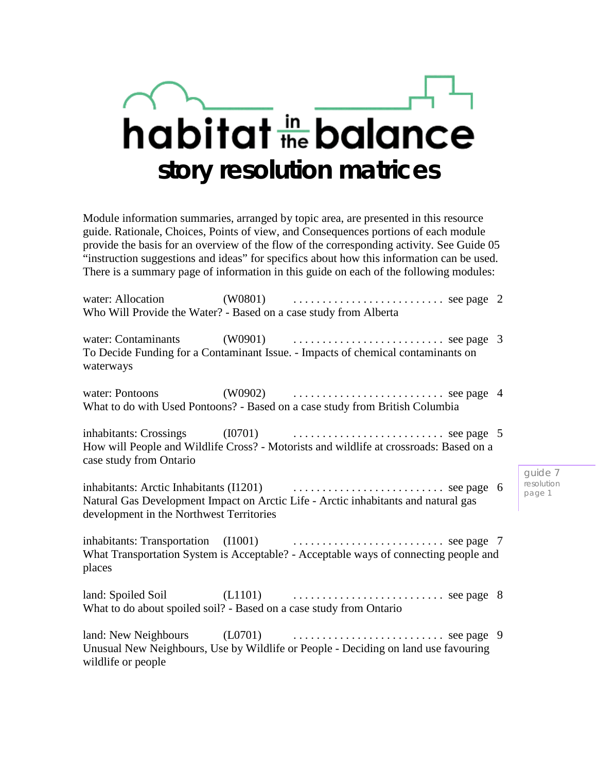# habitat the balance **story resolution matrices**

Module information summaries, arranged by topic area, are presented in this resource guide. Rationale, Choices, Points of view, and Consequences portions of each module provide the basis for an overview of the flow of the corresponding activity. See Guide 05 "instruction suggestions and ideas" for specifics about how this information can be used. There is a summary page of information in this guide on each of the following modules:

|                                          | Who Will Provide the Water? - Based on a case study from Alberta                                                                                   |                                 |
|------------------------------------------|----------------------------------------------------------------------------------------------------------------------------------------------------|---------------------------------|
| waterways                                | To Decide Funding for a Contaminant Issue. - Impacts of chemical contaminants on                                                                   |                                 |
|                                          | What to do with Used Pontoons? - Based on a case study from British Columbia                                                                       |                                 |
| case study from Ontario                  | How will People and Wildlife Cross? - Motorists and wildlife at crossroads: Based on a                                                             |                                 |
| development in the Northwest Territories | Natural Gas Development Impact on Arctic Life - Arctic inhabitants and natural gas                                                                 | guide 7<br>resolution<br>page 1 |
| places                                   | What Transportation System is Acceptable? - Acceptable ways of connecting people and                                                               |                                 |
|                                          | land: Spoiled Soil $(L1101)$ $\ldots$ $\ldots$ $\ldots$ $\ldots$ see page 8<br>What to do about spoiled soil? - Based on a case study from Ontario |                                 |
| wildlife or people                       | Unusual New Neighbours, Use by Wildlife or People - Deciding on land use favouring                                                                 |                                 |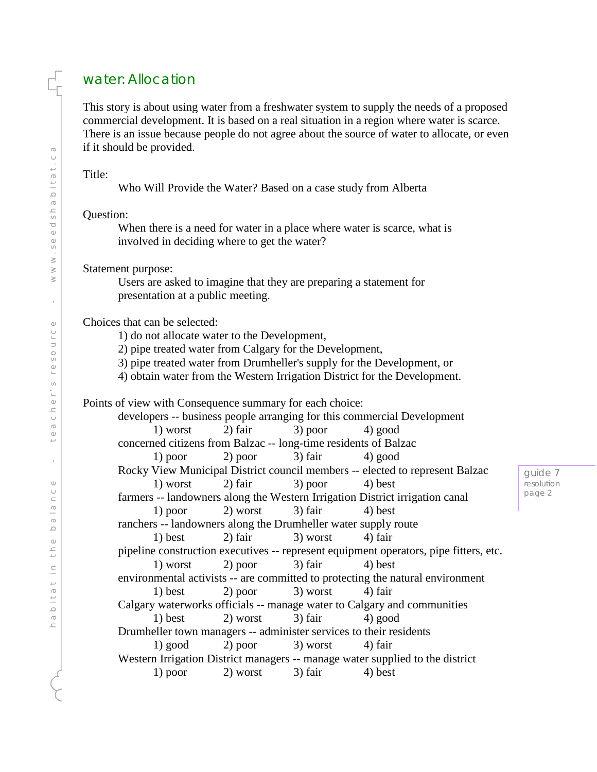# water: Allocation

This story is about using water from a freshwater system to supply the needs of a proposed commercial development. It is based on a real situation in a region where water is scarce. There is an issue because people do not agree about the source of water to allocate, or even if it should be provided.

#### Title:

Who Will Provide the Water? Based on a case study from Alberta

#### Question:

When there is a need for water in a place where water is scarce, what is involved in deciding where to get the water?

## Statement purpose:

Users are asked to imagine that they are preparing a statement for presentation at a public meeting.

## Choices that can be selected:

1) do not allocate water to the Development,

2) pipe treated water from Calgary for the Development,

3) pipe treated water from Drumheller's supply for the Development, or

4) obtain water from the Western Irrigation District for the Development.

Points of view with Consequence summary for each choice:

developers -- business people arranging for this commercial Development 1) worst 2) fair  $3)$  poor  $4)$  good concerned citizens from Balzac -- long-time residents of Balzac 1) poor 2) poor 3) fair 4) good Rocky View Municipal District council members -- elected to represent Balzac 1) worst 2) fair  $3)$  poor 4) best farmers -- landowners along the Western Irrigation District irrigation canal 1) poor 2) worst  $3)$  fair  $4)$  best ranchers -- landowners along the Drumheller water supply route 1) best 2) fair  $\frac{3}{2}$  worst 4) fair pipeline construction executives -- represent equipment operators, pipe fitters, etc. 1) worst 2) poor 3) fair 4) best environmental activists -- are committed to protecting the natural environment 1) best 2) poor 3) worst 4) fair Calgary waterworks officials -- manage water to Calgary and communities 1) best 2) worst 3) fair 4) good Drumheller town managers -- administer services to their residents 1) good 2) poor 3) worst 4) fair Western Irrigation District managers -- manage water supplied to the district 1) poor 2) worst  $3)$  fair  $4)$  best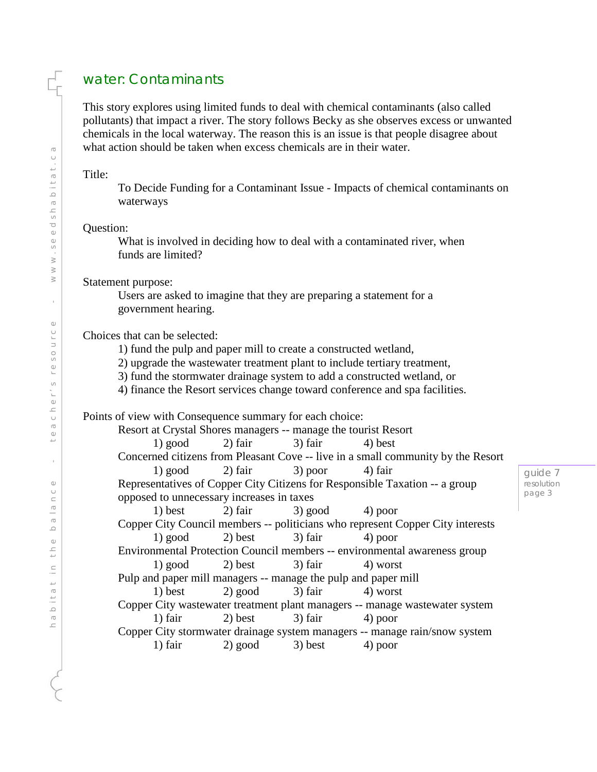# water: Contaminants

This story explores using limited funds to deal with chemical contaminants (also called pollutants) that impact a river. The story follows Becky as she observes excess or unwanted chemicals in the local waterway. The reason this is an issue is that people disagree about what action should be taken when excess chemicals are in their water.

#### Title:

To Decide Funding for a Contaminant Issue - Impacts of chemical contaminants on waterways

#### Question:

What is involved in deciding how to deal with a contaminated river, when funds are limited?

#### Statement purpose:

Users are asked to imagine that they are preparing a statement for a government hearing.

## Choices that can be selected:

1) fund the pulp and paper mill to create a constructed wetland,

2) upgrade the wastewater treatment plant to include tertiary treatment,

- 3) fund the stormwater drainage system to add a constructed wetland, or
- 4) finance the Resort services change toward conference and spa facilities.

Points of view with Consequence summary for each choice:

Resort at Crystal Shores managers -- manage the tourist Resort 1) good 2) fair  $3$  fair  $4$ ) best Concerned citizens from Pleasant Cove -- live in a small community by the Resort 1) good 2) fair  $\frac{3}{2}$  poor  $\frac{4}{1}$  fair Representatives of Copper City Citizens for Responsible Taxation -- a group opposed to unnecessary increases in taxes 1) best 2) fair 3) good 4) poor Copper City Council members -- politicians who represent Copper City interests 1) good 2) best  $3)$  fair  $4)$  poor Environmental Protection Council members -- environmental awareness group 1) good 2) best 3) fair 4) worst Pulp and paper mill managers -- manage the pulp and paper mill 1) best 2) good 3) fair 4) worst Copper City wastewater treatment plant managers -- manage wastewater system 1) fair 2) best 3) fair 4) poor Copper City stormwater drainage system managers -- manage rain/snow system 1) fair 2) good 3) best 4) poor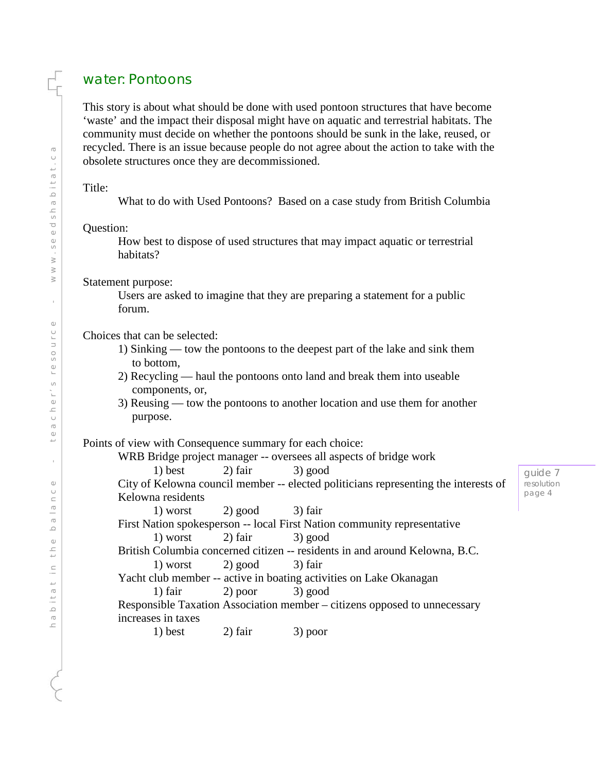# water: Pontoons

This story is about what should be done with used pontoon structures that have become 'waste' and the impact their disposal might have on aquatic and terrestrial habitats. The community must decide on whether the pontoons should be sunk in the lake, reused, or recycled. There is an issue because people do not agree about the action to take with the obsolete structures once they are decommissioned.

## Title:

What to do with Used Pontoons? Based on a case study from British Columbia

## Question:

How best to dispose of used structures that may impact aquatic or terrestrial habitats?

Statement purpose:

Users are asked to imagine that they are preparing a statement for a public forum.

Choices that can be selected:

- 1) Sinking tow the pontoons to the deepest part of the lake and sink them to bottom,
- 2) Recycling haul the pontoons onto land and break them into useable components, or,
- 3) Reusing tow the pontoons to another location and use them for another purpose.

Points of view with Consequence summary for each choice:

WRB Bridge project manager -- oversees all aspects of bridge work 1) best 2) fair  $3)$  good City of Kelowna council member -- elected politicians representing the interests of Kelowna residents 1) worst  $2)$  good  $3)$  fair First Nation spokesperson -- local First Nation community representative 1) worst  $2)$  fair  $3)$  good British Columbia concerned citizen -- residents in and around Kelowna, B.C.

```
1) worst 2) good 3) fair
```
Yacht club member -- active in boating activities on Lake Okanagan 1) fair 2) poor 3) good

Responsible Taxation Association member – citizens opposed to unnecessary increases in taxes

1) best 2) fair 3) poor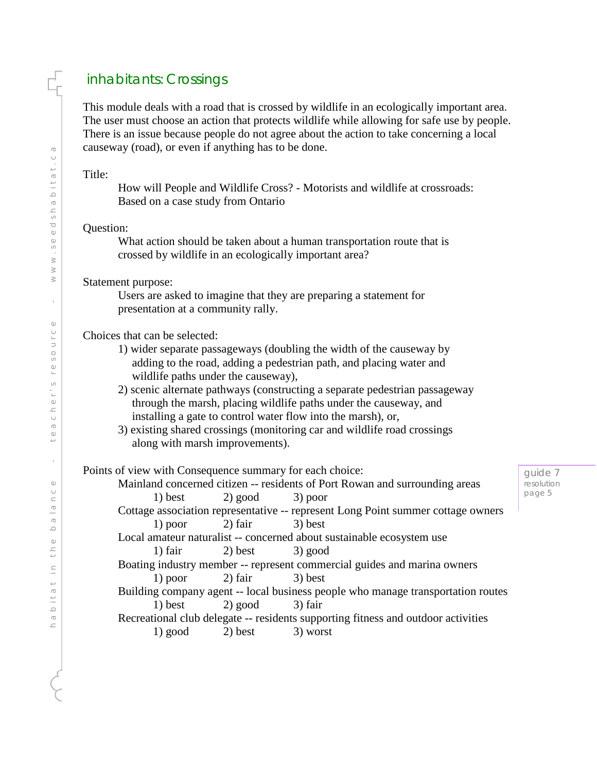# inhabitants: Crossings

This module deals with a road that is crossed by wildlife in an ecologically important area. The user must choose an action that protects wildlife while allowing for safe use by people. There is an issue because people do not agree about the action to take concerning a local causeway (road), or even if anything has to be done.

Title:

How will People and Wildlife Cross? - Motorists and wildlife at crossroads: Based on a case study from Ontario

#### Question:

What action should be taken about a human transportation route that is crossed by wildlife in an ecologically important area?

Statement purpose:

Users are asked to imagine that they are preparing a statement for presentation at a community rally.

Choices that can be selected:

- 1) wider separate passageways (doubling the width of the causeway by adding to the road, adding a pedestrian path, and placing water and wildlife paths under the causeway),
- 2) scenic alternate pathways (constructing a separate pedestrian passageway through the marsh, placing wildlife paths under the causeway, and installing a gate to control water flow into the marsh), or,
- 3) existing shared crossings (monitoring car and wildlife road crossings along with marsh improvements).

## Points of view with Consequence summary for each choice:

Mainland concerned citizen -- residents of Port Rowan and surrounding areas 1) best  $2)$  good  $3)$  poor

Cottage association representative -- represent Long Point summer cottage owners 1) poor 2) fair  $3)$  best

Local amateur naturalist -- concerned about sustainable ecosystem use 1) fair  $2)$  best  $3)$  good

Boating industry member -- represent commercial guides and marina owners 1) poor 2) fair 3) best

Building company agent -- local business people who manage transportation routes 1) best 2) good 3) fair

Recreational club delegate -- residents supporting fitness and outdoor activities 1) good 2) best 3) worst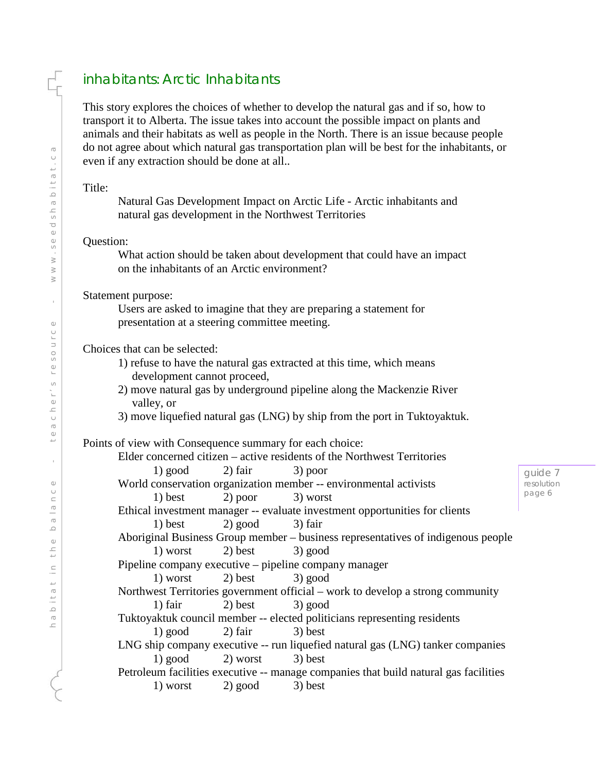# inhabitants: Arctic Inhabitants

This story explores the choices of whether to develop the natural gas and if so, how to transport it to Alberta. The issue takes into account the possible impact on plants and animals and their habitats as well as people in the North. There is an issue because people do not agree about which natural gas transportation plan will be best for the inhabitants, or even if any extraction should be done at all..

Title:

Natural Gas Development Impact on Arctic Life - Arctic inhabitants and natural gas development in the Northwest Territories

#### Question:

What action should be taken about development that could have an impact on the inhabitants of an Arctic environment?

#### Statement purpose:

Users are asked to imagine that they are preparing a statement for presentation at a steering committee meeting.

## Choices that can be selected:

- 1) refuse to have the natural gas extracted at this time, which means development cannot proceed,
- 2) move natural gas by underground pipeline along the Mackenzie River valley, or
- 3) move liquefied natural gas (LNG) by ship from the port in Tuktoyaktuk.

Points of view with Consequence summary for each choice:

Elder concerned citizen – active residents of the Northwest Territories

1) good 2) fair  $3)$  poor World conservation organization member -- environmental activists 1) best  $2)$  poor 3) worst Ethical investment manager -- evaluate investment opportunities for clients 1) best 2) good 3) fair

Aboriginal Business Group member – business representatives of indigenous people 1) worst  $2)$  best  $3)$  good

Pipeline company executive – pipeline company manager

1) worst 2) best 3) good

Northwest Territories government official – work to develop a strong community 1) fair  $2)$  best  $3)$  good

- Tuktoyaktuk council member -- elected politicians representing residents 1) good 2) fair  $3)$  best
- LNG ship company executive -- run liquefied natural gas (LNG) tanker companies 1) good 2) worst 3) best

Petroleum facilities executive -- manage companies that build natural gas facilities 1) worst  $2)$  good  $3)$  best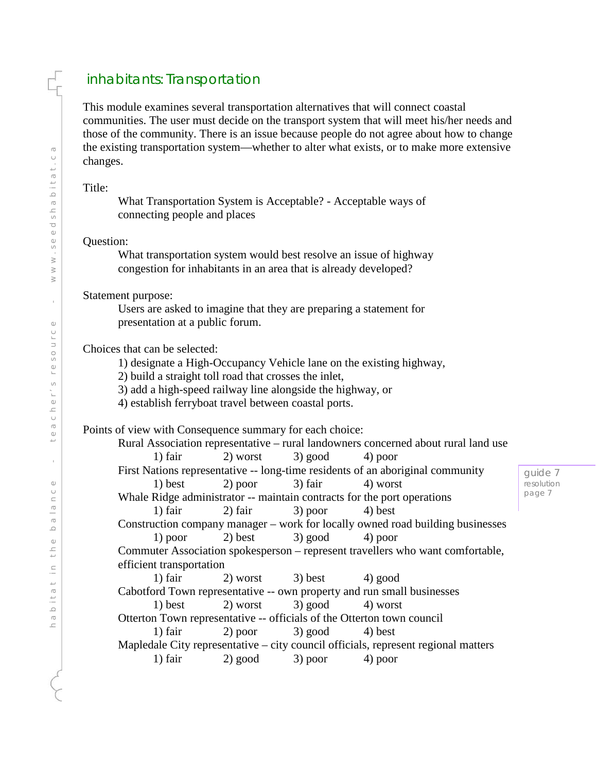# inhabitants: Transportation

This module examines several transportation alternatives that will connect coastal communities. The user must decide on the transport system that will meet his/her needs and those of the community. There is an issue because people do not agree about how to change the existing transportation system—whether to alter what exists, or to make more extensive changes.

Title:

What Transportation System is Acceptable? - Acceptable ways of connecting people and places

## Question:

What transportation system would best resolve an issue of highway congestion for inhabitants in an area that is already developed?

## Statement purpose:

Users are asked to imagine that they are preparing a statement for presentation at a public forum.

## Choices that can be selected:

1) designate a High-Occupancy Vehicle lane on the existing highway,

2) build a straight toll road that crosses the inlet,

3) add a high-speed railway line alongside the highway, or

4) establish ferryboat travel between coastal ports.

## Points of view with Consequence summary for each choice:

|                                                                                    |                                                            |  | Rural Association representative – rural landowners concerned about rural land use |        |  |  |
|------------------------------------------------------------------------------------|------------------------------------------------------------|--|------------------------------------------------------------------------------------|--------|--|--|
|                                                                                    | 1) fair $2)$ worst $3)$ good $4)$ poor                     |  |                                                                                    |        |  |  |
| First Nations representative -- long-time residents of an aboriginal community     |                                                            |  |                                                                                    |        |  |  |
|                                                                                    | 1) best 2) poor 3) fair 4) worst                           |  |                                                                                    | resolu |  |  |
| page<br>Whale Ridge administrator -- maintain contracts for the port operations    |                                                            |  |                                                                                    |        |  |  |
|                                                                                    | 1) fair $\qquad$ 2) fair $\qquad$ 3) poor $\qquad$ 4) best |  |                                                                                    |        |  |  |
| Construction company manager – work for locally owned road building businesses     |                                                            |  |                                                                                    |        |  |  |
|                                                                                    | 1) poor 2) best 3) good 4) poor                            |  |                                                                                    |        |  |  |
| Commuter Association spokesperson – represent travellers who want comfortable,     |                                                            |  |                                                                                    |        |  |  |
| efficient transportation                                                           |                                                            |  |                                                                                    |        |  |  |
|                                                                                    | 1) fair $2)$ worst $3)$ best $4)$ good                     |  |                                                                                    |        |  |  |
| Cabotford Town representative -- own property and run small businesses             |                                                            |  |                                                                                    |        |  |  |
|                                                                                    | 1) best 2) worst 3) good 4) worst                          |  |                                                                                    |        |  |  |
| Otterton Town representative -- officials of the Otterton town council             |                                                            |  |                                                                                    |        |  |  |
|                                                                                    | 1) fair $2)$ poor $3)$ good $4)$ best                      |  |                                                                                    |        |  |  |
| Mapledale City representative – city council officials, represent regional matters |                                                            |  |                                                                                    |        |  |  |
|                                                                                    | 1) fair $2)$ good $3)$ poor $4)$ poor                      |  |                                                                                    |        |  |  |
|                                                                                    |                                                            |  |                                                                                    |        |  |  |

e 7 resolution  $\overline{7}$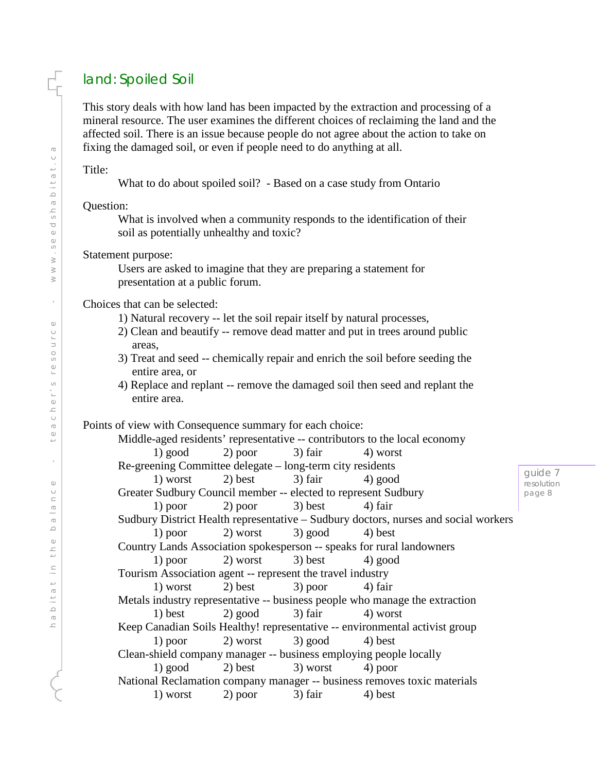# land: Spoiled Soil

This story deals with how land has been impacted by the extraction and processing of a mineral resource. The user examines the different choices of reclaiming the land and the affected soil. There is an issue because people do not agree about the action to take on fixing the damaged soil, or even if people need to do anything at all.

Title:

What to do about spoiled soil? - Based on a case study from Ontario

Question:

What is involved when a community responds to the identification of their soil as potentially unhealthy and toxic?

Statement purpose:

Users are asked to imagine that they are preparing a statement for presentation at a public forum.

Choices that can be selected:

- 1) Natural recovery -- let the soil repair itself by natural processes,
- 2) Clean and beautify -- remove dead matter and put in trees around public areas,
- 3) Treat and seed -- chemically repair and enrich the soil before seeding the entire area, or
- 4) Replace and replant -- remove the damaged soil then seed and replant the entire area.

Points of view with Consequence summary for each choice:

|                                                                                     |                                        |  | Middle-aged residents' representative -- contributors to the local economy |                  |  |  |  |
|-------------------------------------------------------------------------------------|----------------------------------------|--|----------------------------------------------------------------------------|------------------|--|--|--|
|                                                                                     | 1) good 2) poor 3) fair 4) worst       |  |                                                                            |                  |  |  |  |
| Re-greening Committee delegate – long-term city residents                           |                                        |  |                                                                            |                  |  |  |  |
|                                                                                     | 1) worst $2)$ best $3)$ fair $4)$ good |  |                                                                            | guide<br>resolut |  |  |  |
| Greater Sudbury Council member -- elected to represent Sudbury                      |                                        |  |                                                                            |                  |  |  |  |
|                                                                                     | 1) poor 2) poor 3) best 4) fair        |  |                                                                            |                  |  |  |  |
| Sudbury District Health representative – Sudbury doctors, nurses and social workers |                                        |  |                                                                            |                  |  |  |  |
|                                                                                     | 1) poor 2) worst 3) good 4) best       |  |                                                                            |                  |  |  |  |
| Country Lands Association spokesperson -- speaks for rural landowners               |                                        |  |                                                                            |                  |  |  |  |
|                                                                                     | 1) poor 2) worst 3) best 4) good       |  |                                                                            |                  |  |  |  |
| Tourism Association agent -- represent the travel industry                          |                                        |  |                                                                            |                  |  |  |  |
|                                                                                     | 1) worst 2) best 3) poor 4) fair       |  |                                                                            |                  |  |  |  |
| Metals industry representative -- business people who manage the extraction         |                                        |  |                                                                            |                  |  |  |  |
|                                                                                     | 1) best $2)$ good $3)$ fair $4)$ worst |  |                                                                            |                  |  |  |  |
| Keep Canadian Soils Healthy! representative -- environmental activist group         |                                        |  |                                                                            |                  |  |  |  |
|                                                                                     | 1) poor 2) worst 3) good 4) best       |  |                                                                            |                  |  |  |  |
| Clean-shield company manager -- business employing people locally                   |                                        |  |                                                                            |                  |  |  |  |
|                                                                                     | 1) good 2) best 3) worst 4) poor       |  |                                                                            |                  |  |  |  |
| National Reclamation company manager -- business removes toxic materials            |                                        |  |                                                                            |                  |  |  |  |
|                                                                                     | 1) worst 2) poor 3) fair 4) best       |  |                                                                            |                  |  |  |  |
|                                                                                     |                                        |  |                                                                            |                  |  |  |  |

 $\geq 7$ ion. page 8